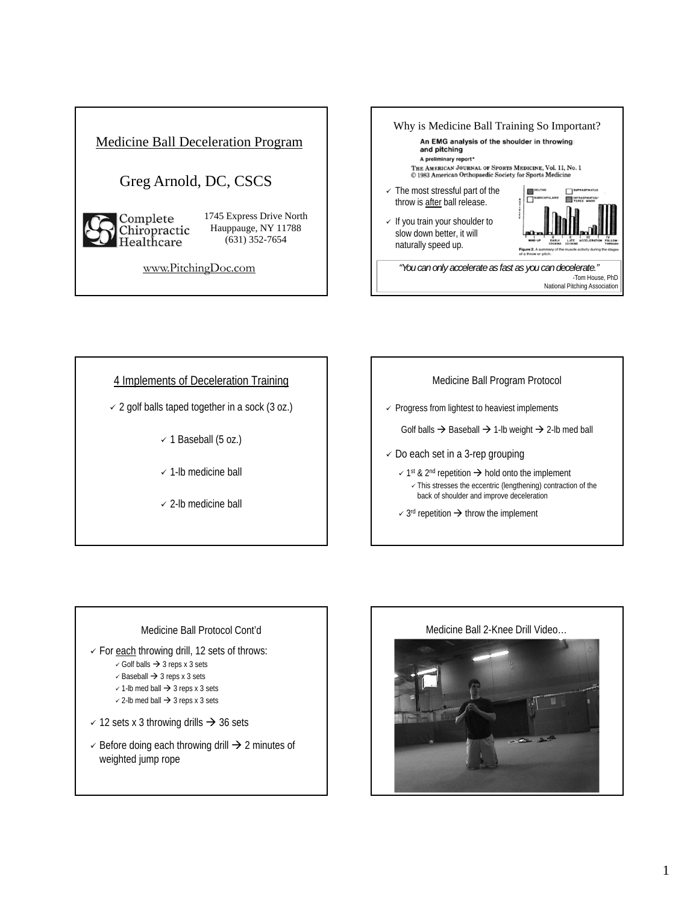



## 4 Implements of Deceleration Training

- $\checkmark$  2 golf balls taped together in a sock (3 oz.)
	- $\checkmark$  1 Baseball (5 oz.)
	- $\checkmark$  1-lb medicine ball
	- $\checkmark$  2-lb medicine ball



 $\checkmark$  Progress from lightest to heaviest implements

Golf balls  $\rightarrow$  Baseball  $\rightarrow$  1-lb weight  $\rightarrow$  2-lb med ball

- $\checkmark$  Do each set in a 3-rep grouping
	- $\leq$  1<sup>st</sup> & 2<sup>nd</sup> repetition  $\rightarrow$  hold onto the implement  $\checkmark$  This stresses the eccentric (lengthening) contraction of the back of shoulder and improve deceleration
	- $\sim$  3<sup>rd</sup> repetition  $\rightarrow$  throw the implement

## Medicine Ball Protocol Cont'd

- $\checkmark$  For each throwing drill, 12 sets of throws:
	- $\checkmark$  Golf balls  $\rightarrow$  3 reps x 3 sets
	- $\checkmark$  Baseball  $\rightarrow$  3 reps x 3 sets
	- $\checkmark$  1-lb med ball  $\Rightarrow$  3 reps x 3 sets
	- $\checkmark$  2-lb med ball  $\Rightarrow$  3 reps x 3 sets
- $\sim$  12 sets x 3 throwing drills  $\rightarrow$  36 sets
- $\checkmark$  Before doing each throwing drill  $\to$  2 minutes of weighted jump rope